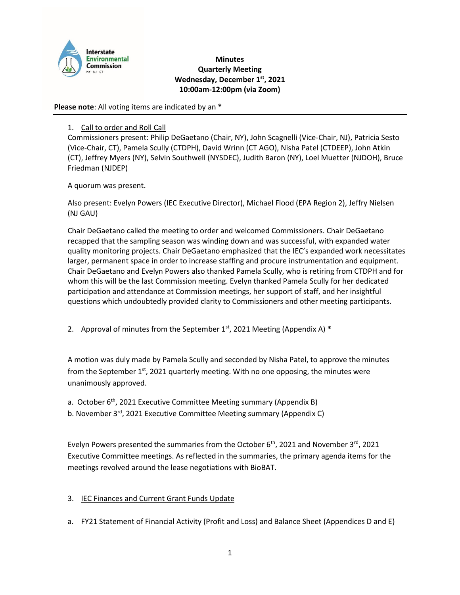

### **Minutes Quarterly Meeting Wednesday, December 1st, 2021 10:00am-12:00pm (via Zoom)**

**Please note**: All voting items are indicated by an **\***

# 1. Call to order and Roll Call

Commissioners present: Philip DeGaetano (Chair, NY), John Scagnelli (Vice-Chair, NJ), Patricia Sesto (Vice-Chair, CT), Pamela Scully (CTDPH), David Wrinn (CT AGO), Nisha Patel (CTDEEP), John Atkin (CT), Jeffrey Myers (NY), Selvin Southwell (NYSDEC), Judith Baron (NY), Loel Muetter (NJDOH), Bruce Friedman (NJDEP)

A quorum was present.

Also present: Evelyn Powers (IEC Executive Director), Michael Flood (EPA Region 2), Jeffry Nielsen (NJ GAU)

Chair DeGaetano called the meeting to order and welcomed Commissioners. Chair DeGaetano recapped that the sampling season was winding down and was successful, with expanded water quality monitoring projects. Chair DeGaetano emphasized that the IEC's expanded work necessitates larger, permanent space in order to increase staffing and procure instrumentation and equipment. Chair DeGaetano and Evelyn Powers also thanked Pamela Scully, who is retiring from CTDPH and for whom this will be the last Commission meeting. Evelyn thanked Pamela Scully for her dedicated participation and attendance at Commission meetings, her support of staff, and her insightful questions which undoubtedly provided clarity to Commissioners and other meeting participants.

2. Approval of minutes from the September 1<sup>st</sup>, 2021 Meeting (Appendix A) \*

A motion was duly made by Pamela Scully and seconded by Nisha Patel, to approve the minutes from the September  $1^{st}$ , 2021 quarterly meeting. With no one opposing, the minutes were unanimously approved.

a. October 6<sup>th</sup>, 2021 Executive Committee Meeting summary (Appendix B)

b. November 3<sup>rd</sup>, 2021 Executive Committee Meeting summary (Appendix C)

Evelyn Powers presented the summaries from the October  $6<sup>th</sup>$ , 2021 and November 3<sup>rd</sup>, 2021 Executive Committee meetings. As reflected in the summaries, the primary agenda items for the meetings revolved around the lease negotiations with BioBAT.

# 3. IEC Finances and Current Grant Funds Update

a. FY21 Statement of Financial Activity (Profit and Loss) and Balance Sheet (Appendices D and E)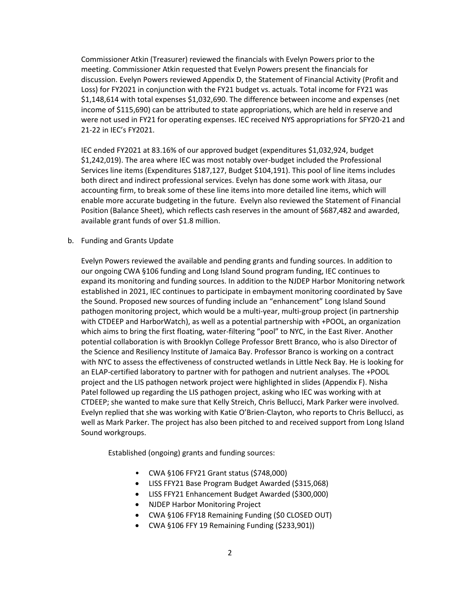Commissioner Atkin (Treasurer) reviewed the financials with Evelyn Powers prior to the meeting. Commissioner Atkin requested that Evelyn Powers present the financials for discussion. Evelyn Powers reviewed Appendix D, the Statement of Financial Activity (Profit and Loss) for FY2021 in conjunction with the FY21 budget vs. actuals. Total income for FY21 was \$1,148,614 with total expenses \$1,032,690. The difference between income and expenses (net income of \$115,690) can be attributed to state appropriations, which are held in reserve and were not used in FY21 for operating expenses. IEC received NYS appropriations for SFY20-21 and 21-22 in IEC's FY2021.

IEC ended FY2021 at 83.16% of our approved budget (expenditures \$1,032,924, budget \$1,242,019). The area where IEC was most notably over-budget included the Professional Services line items (Expenditures \$187,127, Budget \$104,191). This pool of line items includes both direct and indirect professional services. Evelyn has done some work with Jitasa, our accounting firm, to break some of these line items into more detailed line items, which will enable more accurate budgeting in the future. Evelyn also reviewed the Statement of Financial Position (Balance Sheet), which reflects cash reserves in the amount of \$687,482 and awarded, available grant funds of over \$1.8 million.

b. Funding and Grants Update

Evelyn Powers reviewed the available and pending grants and funding sources. In addition to our ongoing CWA §106 funding and Long Island Sound program funding, IEC continues to expand its monitoring and funding sources. In addition to the NJDEP Harbor Monitoring network established in 2021, IEC continues to participate in embayment monitoring coordinated by Save the Sound. Proposed new sources of funding include an "enhancement" Long Island Sound pathogen monitoring project, which would be a multi-year, multi-group project (in partnership with CTDEEP and HarborWatch), as well as a potential partnership with +POOL, an organization which aims to bring the first floating, water-filtering "pool" to NYC, in the East River. Another potential collaboration is with Brooklyn College Professor Brett Branco, who is also Director of the Science and Resiliency Institute of Jamaica Bay. Professor Branco is working on a contract with NYC to assess the effectiveness of constructed wetlands in Little Neck Bay. He is looking for an ELAP-certified laboratory to partner with for pathogen and nutrient analyses. The +POOL project and the LIS pathogen network project were highlighted in slides (Appendix F). Nisha Patel followed up regarding the LIS pathogen project, asking who IEC was working with at CTDEEP; she wanted to make sure that Kelly Streich, Chris Bellucci, Mark Parker were involved. Evelyn replied that she was working with Katie O'Brien-Clayton, who reports to Chris Bellucci, as well as Mark Parker. The project has also been pitched to and received support from Long Island Sound workgroups.

Established (ongoing) grants and funding sources:

- CWA §106 FFY21 Grant status (\$748,000)
- LISS FFY21 Base Program Budget Awarded (\$315,068)
- LISS FFY21 Enhancement Budget Awarded (\$300,000)
- NJDEP Harbor Monitoring Project
- CWA §106 FFY18 Remaining Funding (\$0 CLOSED OUT)
- CWA §106 FFY 19 Remaining Funding (\$233,901))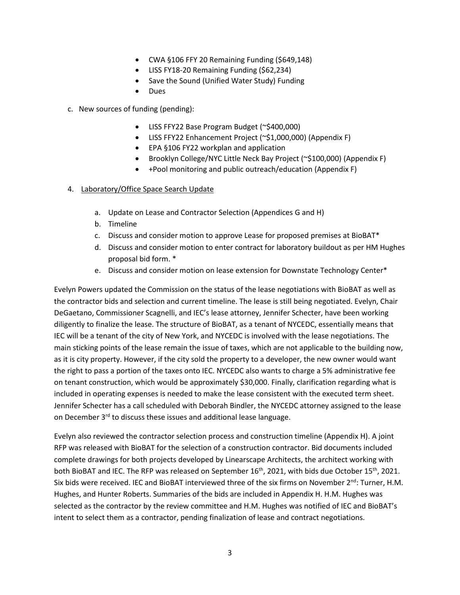- CWA §106 FFY 20 Remaining Funding (\$649,148)
- LISS FY18-20 Remaining Funding (\$62,234)
- Save the Sound (Unified Water Study) Funding
- Dues

c. New sources of funding (pending):

- LISS FFY22 Base Program Budget (~\$400,000)
- LISS FFY22 Enhancement Project (~\$1,000,000) (Appendix F)
- EPA §106 FY22 workplan and application
- Brooklyn College/NYC Little Neck Bay Project (~\$100,000) (Appendix F)
- +Pool monitoring and public outreach/education (Appendix F)

#### 4. Laboratory/Office Space Search Update

- a. Update on Lease and Contractor Selection (Appendices G and H)
- b. Timeline
- c. Discuss and consider motion to approve Lease for proposed premises at BioBAT\*
- d. Discuss and consider motion to enter contract for laboratory buildout as per HM Hughes proposal bid form. \*
- e. Discuss and consider motion on lease extension for Downstate Technology Center\*

Evelyn Powers updated the Commission on the status of the lease negotiations with BioBAT as well as the contractor bids and selection and current timeline. The lease is still being negotiated. Evelyn, Chair DeGaetano, Commissioner Scagnelli, and IEC's lease attorney, Jennifer Schecter, have been working diligently to finalize the lease. The structure of BioBAT, as a tenant of NYCEDC, essentially means that IEC will be a tenant of the city of New York, and NYCEDC is involved with the lease negotiations. The main sticking points of the lease remain the issue of taxes, which are not applicable to the building now, as it is city property. However, if the city sold the property to a developer, the new owner would want the right to pass a portion of the taxes onto IEC. NYCEDC also wants to charge a 5% administrative fee on tenant construction, which would be approximately \$30,000. Finally, clarification regarding what is included in operating expenses is needed to make the lease consistent with the executed term sheet. Jennifer Schecter has a call scheduled with Deborah Bindler, the NYCEDC attorney assigned to the lease on December 3<sup>rd</sup> to discuss these issues and additional lease language.

Evelyn also reviewed the contractor selection process and construction timeline (Appendix H). A joint RFP was released with BioBAT for the selection of a construction contractor. Bid documents included complete drawings for both projects developed by Linearscape Architects, the architect working with both BioBAT and IEC. The RFP was released on September 16<sup>th</sup>, 2021, with bids due October 15<sup>th</sup>, 2021. Six bids were received. IEC and BioBAT interviewed three of the six firms on November 2<sup>nd</sup>: Turner, H.M. Hughes, and Hunter Roberts. Summaries of the bids are included in Appendix H. H.M. Hughes was selected as the contractor by the review committee and H.M. Hughes was notified of IEC and BioBAT's intent to select them as a contractor, pending finalization of lease and contract negotiations.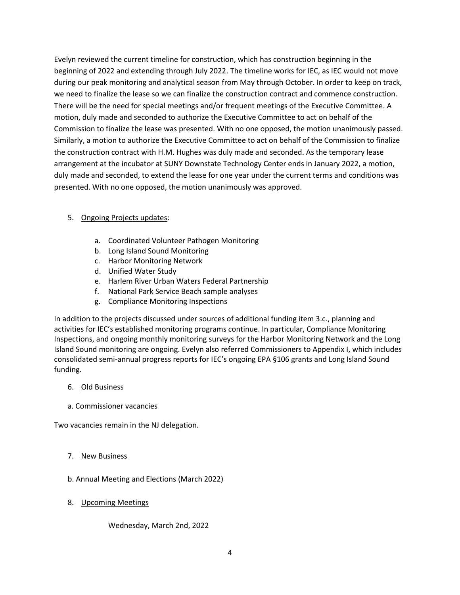Evelyn reviewed the current timeline for construction, which has construction beginning in the beginning of 2022 and extending through July 2022. The timeline works for IEC, as IEC would not move during our peak monitoring and analytical season from May through October. In order to keep on track, we need to finalize the lease so we can finalize the construction contract and commence construction. There will be the need for special meetings and/or frequent meetings of the Executive Committee. A motion, duly made and seconded to authorize the Executive Committee to act on behalf of the Commission to finalize the lease was presented. With no one opposed, the motion unanimously passed. Similarly, a motion to authorize the Executive Committee to act on behalf of the Commission to finalize the construction contract with H.M. Hughes was duly made and seconded. As the temporary lease arrangement at the incubator at SUNY Downstate Technology Center ends in January 2022, a motion, duly made and seconded, to extend the lease for one year under the current terms and conditions was presented. With no one opposed, the motion unanimously was approved.

# 5. Ongoing Projects updates:

- a. Coordinated Volunteer Pathogen Monitoring
- b. Long Island Sound Monitoring
- c. Harbor Monitoring Network
- d. Unified Water Study
- e. Harlem River Urban Waters Federal Partnership
- f. National Park Service Beach sample analyses
- g. Compliance Monitoring Inspections

In addition to the projects discussed under sources of additional funding item 3.c., planning and activities for IEC's established monitoring programs continue. In particular, Compliance Monitoring Inspections, and ongoing monthly monitoring surveys for the Harbor Monitoring Network and the Long Island Sound monitoring are ongoing. Evelyn also referred Commissioners to Appendix I, which includes consolidated semi-annual progress reports for IEC's ongoing EPA §106 grants and Long Island Sound funding.

### 6. Old Business

a. Commissioner vacancies

Two vacancies remain in the NJ delegation.

### 7. New Business

- b. Annual Meeting and Elections (March 2022)
- 8. Upcoming Meetings

Wednesday, March 2nd, 2022